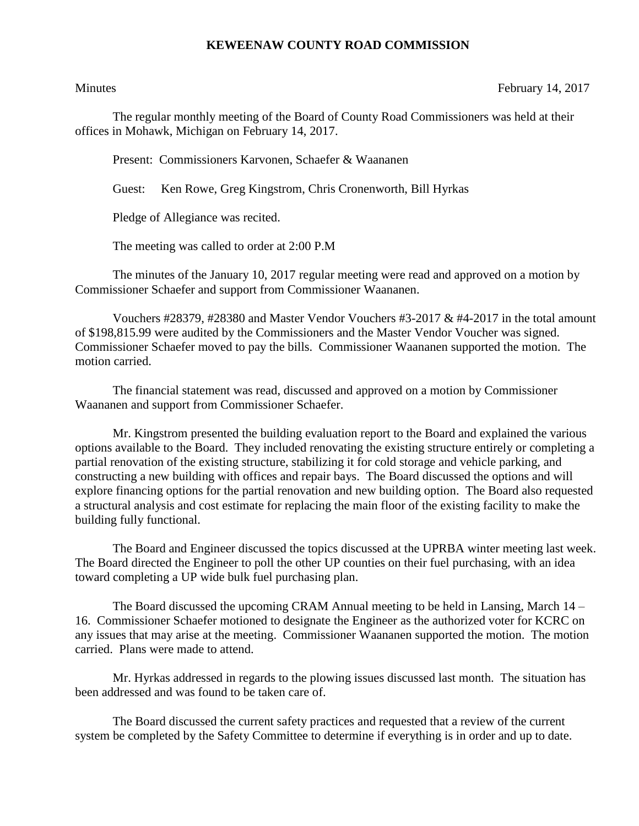## **KEWEENAW COUNTY ROAD COMMISSION**

Minutes February 14, 2017

The regular monthly meeting of the Board of County Road Commissioners was held at their offices in Mohawk, Michigan on February 14, 2017.

Present: Commissioners Karvonen, Schaefer & Waananen

Guest: Ken Rowe, Greg Kingstrom, Chris Cronenworth, Bill Hyrkas

Pledge of Allegiance was recited.

The meeting was called to order at 2:00 P.M

The minutes of the January 10, 2017 regular meeting were read and approved on a motion by Commissioner Schaefer and support from Commissioner Waananen.

Vouchers #28379, #28380 and Master Vendor Vouchers #3-2017 & #4-2017 in the total amount of \$198,815.99 were audited by the Commissioners and the Master Vendor Voucher was signed. Commissioner Schaefer moved to pay the bills. Commissioner Waananen supported the motion. The motion carried.

The financial statement was read, discussed and approved on a motion by Commissioner Waananen and support from Commissioner Schaefer.

Mr. Kingstrom presented the building evaluation report to the Board and explained the various options available to the Board. They included renovating the existing structure entirely or completing a partial renovation of the existing structure, stabilizing it for cold storage and vehicle parking, and constructing a new building with offices and repair bays. The Board discussed the options and will explore financing options for the partial renovation and new building option. The Board also requested a structural analysis and cost estimate for replacing the main floor of the existing facility to make the building fully functional.

The Board and Engineer discussed the topics discussed at the UPRBA winter meeting last week. The Board directed the Engineer to poll the other UP counties on their fuel purchasing, with an idea toward completing a UP wide bulk fuel purchasing plan.

The Board discussed the upcoming CRAM Annual meeting to be held in Lansing, March 14 – 16. Commissioner Schaefer motioned to designate the Engineer as the authorized voter for KCRC on any issues that may arise at the meeting. Commissioner Waananen supported the motion. The motion carried. Plans were made to attend.

Mr. Hyrkas addressed in regards to the plowing issues discussed last month. The situation has been addressed and was found to be taken care of.

The Board discussed the current safety practices and requested that a review of the current system be completed by the Safety Committee to determine if everything is in order and up to date.